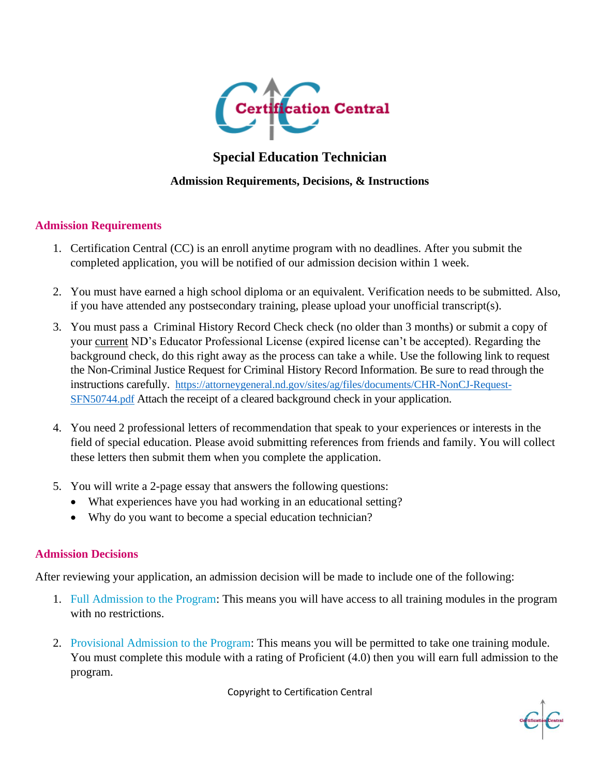

# **Special Education Technician**

# **Admission Requirements, Decisions, & Instructions**

## **Admission Requirements**

- 1. Certification Central (CC) is an enroll anytime program with no deadlines. After you submit the completed application, you will be notified of our admission decision within 1 week.
- 2. You must have earned a high school diploma or an equivalent. Verification needs to be submitted. Also, if you have attended any postsecondary training, please upload your unofficial transcript(s).
- 3. You must pass a Criminal History Record Check check (no older than 3 months) or submit a copy of your current ND's Educator Professional License (expired license can't be accepted). Regarding the background check, do this right away as the process can take a while. Use the following link to request the Non-Criminal Justice Request for Criminal History Record Information. Be sure to read through the instructions carefully. [https://attorneygeneral.nd.gov/sites/ag/files/documents/CHR-NonCJ-Request-](https://attorneygeneral.nd.gov/sites/ag/files/documents/CHR-NonCJ-Request-SFN50744.pdf)[SFN50744.pdf](https://attorneygeneral.nd.gov/sites/ag/files/documents/CHR-NonCJ-Request-SFN50744.pdf) Attach the receipt of a cleared background check in your application.
- 4. You need 2 professional letters of recommendation that speak to your experiences or interests in the field of special education. Please avoid submitting references from friends and family. You will collect these letters then submit them when you complete the application.
- 5. You will write a 2-page essay that answers the following questions:
	- What experiences have you had working in an educational setting?
	- Why do you want to become a special education technician?

#### **Admission Decisions**

After reviewing your application, an admission decision will be made to include one of the following:

- 1. Full Admission to the Program: This means you will have access to all training modules in the program with no restrictions.
- 2. Provisional Admission to the Program: This means you will be permitted to take one training module. You must complete this module with a rating of Proficient (4.0) then you will earn full admission to the program.

Copyright to Certification Central